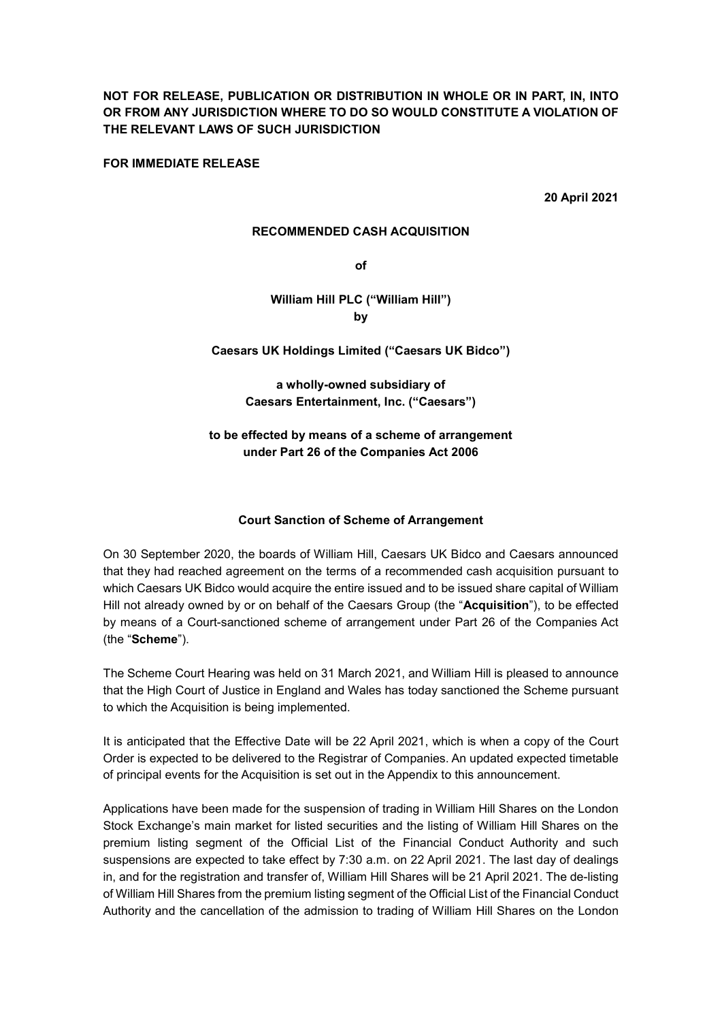NOT FOR RELEASE, PUBLICATION OR DISTRIBUTION IN WHOLE OR IN PART, IN, INTO OR FROM ANY JURISDICTION WHERE TO DO SO WOULD CONSTITUTE A VIOLATION OF THE RELEVANT LAWS OF SUCH JURISDICTION

FOR IMMEDIATE RELEASE

20 April 2021

#### RECOMMENDED CASH ACQUISITION

of

# William Hill PLC ("William Hill") by

# Caesars UK Holdings Limited ("Caesars UK Bidco")

# a wholly-owned subsidiary of Caesars Entertainment, Inc. ("Caesars")

# to be effected by means of a scheme of arrangement under Part 26 of the Companies Act 2006

# Court Sanction of Scheme of Arrangement

On 30 September 2020, the boards of William Hill, Caesars UK Bidco and Caesars announced that they had reached agreement on the terms of a recommended cash acquisition pursuant to which Caesars UK Bidco would acquire the entire issued and to be issued share capital of William Hill not already owned by or on behalf of the Caesars Group (the "Acquisition"), to be effected by means of a Court-sanctioned scheme of arrangement under Part 26 of the Companies Act (the "Scheme").

The Scheme Court Hearing was held on 31 March 2021, and William Hill is pleased to announce that the High Court of Justice in England and Wales has today sanctioned the Scheme pursuant to which the Acquisition is being implemented.

It is anticipated that the Effective Date will be 22 April 2021, which is when a copy of the Court Order is expected to be delivered to the Registrar of Companies. An updated expected timetable of principal events for the Acquisition is set out in the Appendix to this announcement.

Applications have been made for the suspension of trading in William Hill Shares on the London Stock Exchange's main market for listed securities and the listing of William Hill Shares on the premium listing segment of the Official List of the Financial Conduct Authority and such suspensions are expected to take effect by 7:30 a.m. on 22 April 2021. The last day of dealings in, and for the registration and transfer of, William Hill Shares will be 21 April 2021. The de-listing of William Hill Shares from the premium listing segment of the Official List of the Financial Conduct Authority and the cancellation of the admission to trading of William Hill Shares on the London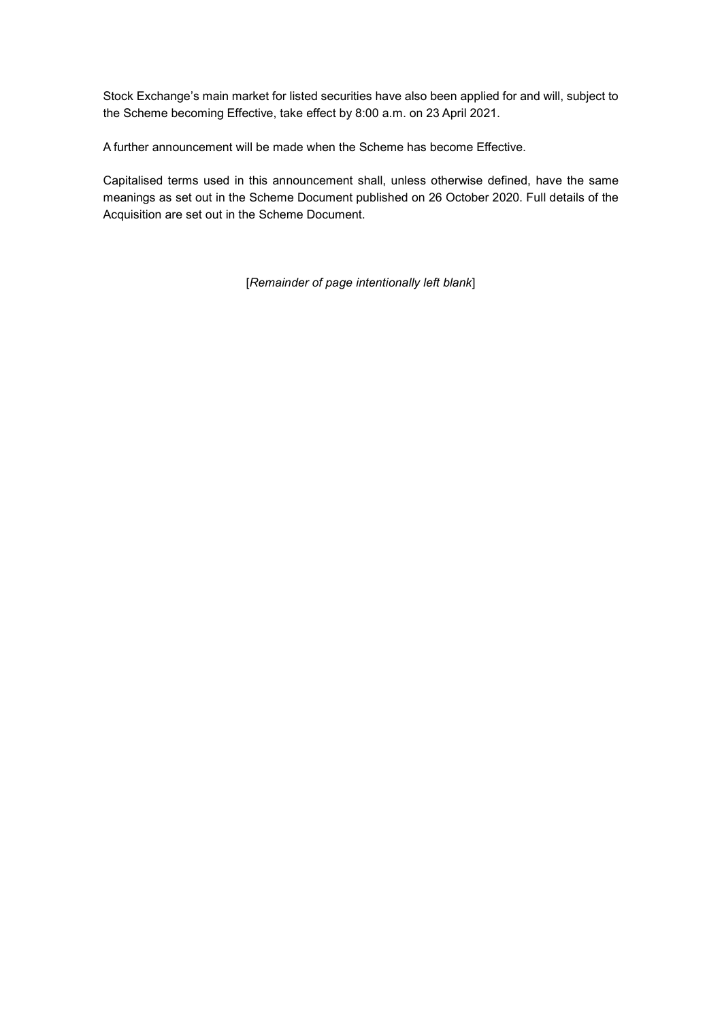Stock Exchange's main market for listed securities have also been applied for and will, subject to the Scheme becoming Effective, take effect by 8:00 a.m. on 23 April 2021.

A further announcement will be made when the Scheme has become Effective.

Capitalised terms used in this announcement shall, unless otherwise defined, have the same meanings as set out in the Scheme Document published on 26 October 2020. Full details of the Acquisition are set out in the Scheme Document.

[Remainder of page intentionally left blank]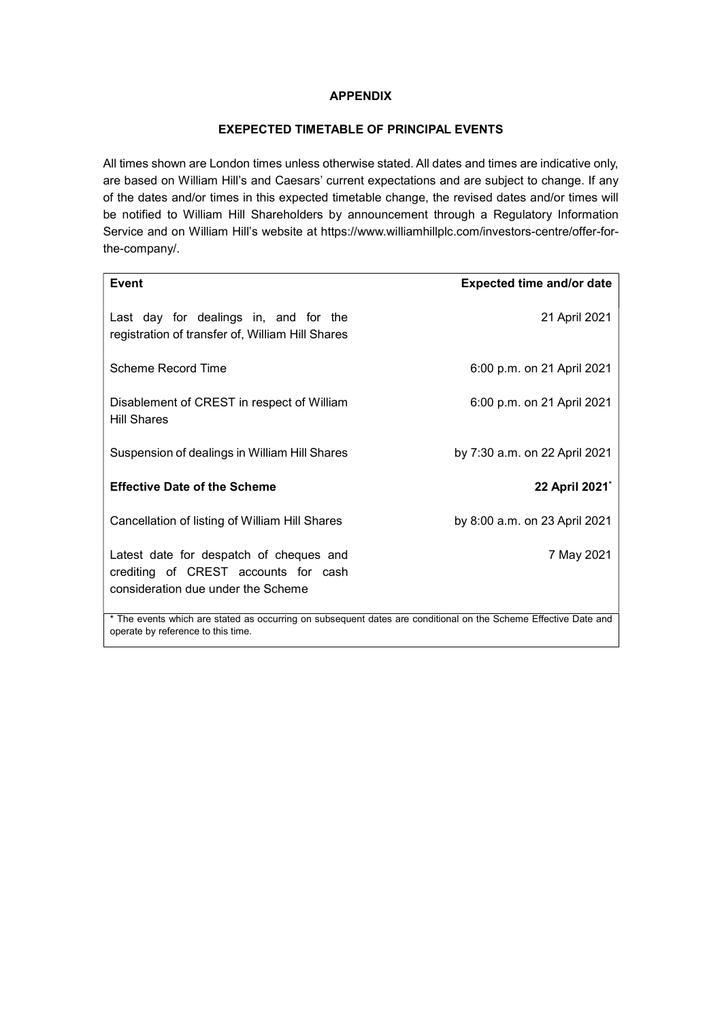### **APPENDIX**

#### EXEPECTED TIMETABLE OF PRINCIPAL EVENTS

All times shown are London times unless otherwise stated. All dates and times are indicative only, are based on William Hill's and Caesars' current expectations and are subject to change. If any of the dates and/or times in this expected timetable change, the revised dates and/or times will be notified to William Hill Shareholders by announcement through a Regulatory Information Service and on William Hill's website at https://www.williamhillplc.com/investors-centre/offer-forthe-company/.

| Event                                                                                                                 | <b>Expected time and/or date</b> |  |
|-----------------------------------------------------------------------------------------------------------------------|----------------------------------|--|
| Last day for dealings in, and for the<br>registration of transfer of, William Hill Shares                             | 21 April 2021                    |  |
| Scheme Record Time                                                                                                    | 6:00 p.m. on 21 April 2021       |  |
| Disablement of CREST in respect of William<br><b>Hill Shares</b>                                                      | 6:00 p.m. on 21 April 2021       |  |
| Suspension of dealings in William Hill Shares                                                                         | by 7:30 a.m. on 22 April 2021    |  |
| <b>Effective Date of the Scheme</b>                                                                                   | 22 April 2021*                   |  |
| Cancellation of listing of William Hill Shares                                                                        | by 8:00 a.m. on 23 April 2021    |  |
| Latest date for despatch of cheques and<br>crediting of CREST accounts for cash<br>consideration due under the Scheme | 7 May 2021                       |  |
| * The events which are stated as occurring on subsequent dates are conditional on the Scheme Effective Date and       |                                  |  |

operate by reference to this time.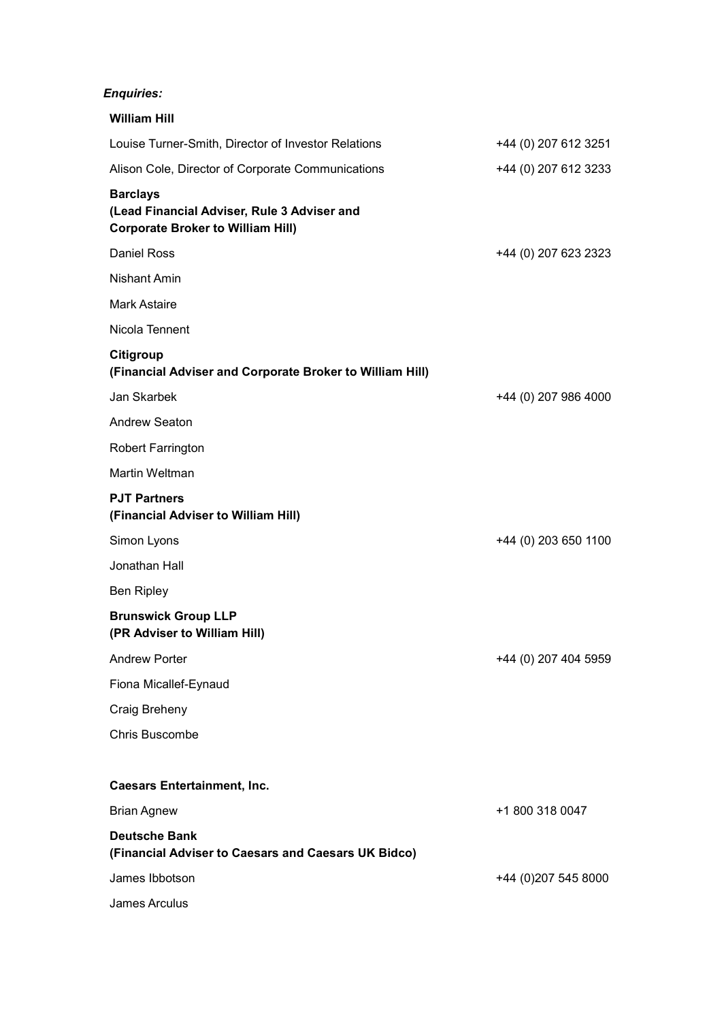# Enquiries:

| <b>William Hill</b>                                                                                        |                      |
|------------------------------------------------------------------------------------------------------------|----------------------|
| Louise Turner-Smith, Director of Investor Relations                                                        | +44 (0) 207 612 3251 |
| Alison Cole, Director of Corporate Communications                                                          | +44 (0) 207 612 3233 |
| <b>Barclays</b><br>(Lead Financial Adviser, Rule 3 Adviser and<br><b>Corporate Broker to William Hill)</b> |                      |
| Daniel Ross                                                                                                | +44 (0) 207 623 2323 |
| <b>Nishant Amin</b>                                                                                        |                      |
| <b>Mark Astaire</b>                                                                                        |                      |
| Nicola Tennent                                                                                             |                      |
| Citigroup<br>(Financial Adviser and Corporate Broker to William Hill)                                      |                      |
| Jan Skarbek                                                                                                | +44 (0) 207 986 4000 |
| Andrew Seaton                                                                                              |                      |
| <b>Robert Farrington</b>                                                                                   |                      |
| <b>Martin Weltman</b>                                                                                      |                      |
| <b>PJT Partners</b><br>(Financial Adviser to William Hill)                                                 |                      |
| Simon Lyons                                                                                                | +44 (0) 203 650 1100 |
| Jonathan Hall                                                                                              |                      |
| <b>Ben Ripley</b>                                                                                          |                      |
| <b>Brunswick Group LLP</b><br>(PR Adviser to William Hill)                                                 |                      |
| <b>Andrew Porter</b>                                                                                       | +44 (0) 207 404 5959 |
| Fiona Micallef-Eynaud                                                                                      |                      |
| Craig Breheny                                                                                              |                      |
| <b>Chris Buscombe</b>                                                                                      |                      |
| <b>Caesars Entertainment, Inc.</b>                                                                         |                      |
| <b>Brian Agnew</b>                                                                                         | +1 800 318 0047      |
| <b>Deutsche Bank</b><br>(Financial Adviser to Caesars and Caesars UK Bidco)                                |                      |
| James Ibbotson                                                                                             | +44 (0)207 545 8000  |
| James Arculus                                                                                              |                      |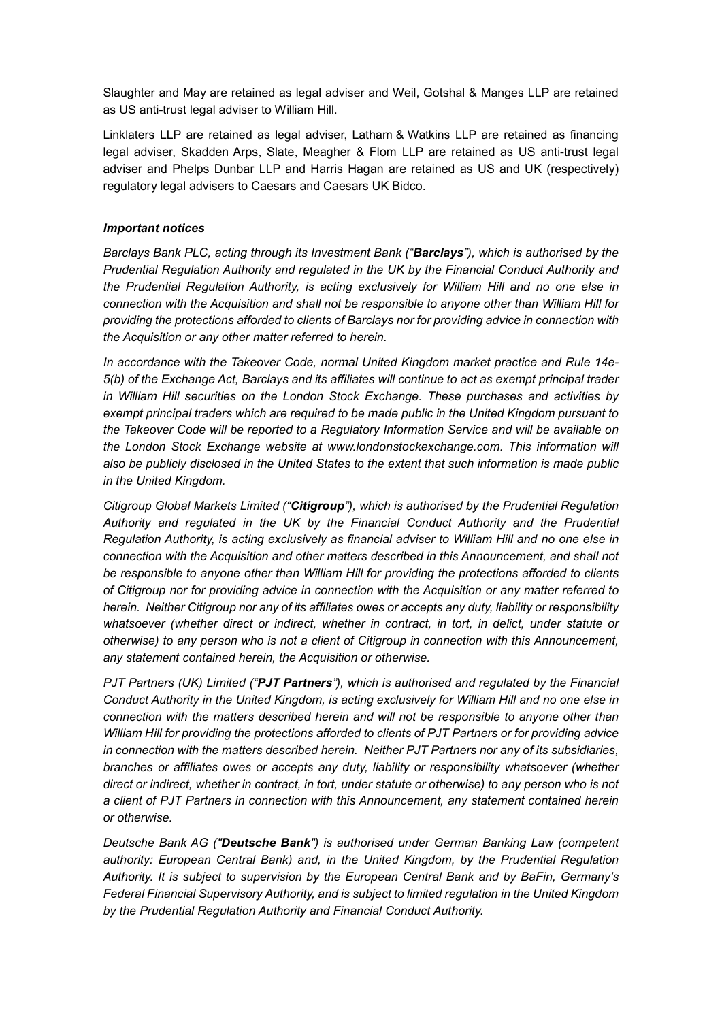Slaughter and May are retained as legal adviser and Weil, Gotshal & Manges LLP are retained as US anti-trust legal adviser to William Hill.

Linklaters LLP are retained as legal adviser, Latham & Watkins LLP are retained as financing legal adviser, Skadden Arps, Slate, Meagher & Flom LLP are retained as US anti-trust legal adviser and Phelps Dunbar LLP and Harris Hagan are retained as US and UK (respectively) regulatory legal advisers to Caesars and Caesars UK Bidco.

# Important notices

Barclays Bank PLC, acting through its Investment Bank ("Barclays"), which is authorised by the Prudential Regulation Authority and regulated in the UK by the Financial Conduct Authority and the Prudential Regulation Authority, is acting exclusively for William Hill and no one else in connection with the Acquisition and shall not be responsible to anyone other than William Hill for providing the protections afforded to clients of Barclays nor for providing advice in connection with the Acquisition or any other matter referred to herein.

In accordance with the Takeover Code, normal United Kingdom market practice and Rule 14e-5(b) of the Exchange Act, Barclays and its affiliates will continue to act as exempt principal trader in William Hill securities on the London Stock Exchange. These purchases and activities by exempt principal traders which are required to be made public in the United Kingdom pursuant to the Takeover Code will be reported to a Regulatory Information Service and will be available on the London Stock Exchange website at www.londonstockexchange.com. This information will also be publicly disclosed in the United States to the extent that such information is made public in the United Kingdom.

Citigroup Global Markets Limited ("Citigroup"), which is authorised by the Prudential Regulation Authority and regulated in the UK by the Financial Conduct Authority and the Prudential Regulation Authority, is acting exclusively as financial adviser to William Hill and no one else in connection with the Acquisition and other matters described in this Announcement, and shall not be responsible to anyone other than William Hill for providing the protections afforded to clients of Citigroup nor for providing advice in connection with the Acquisition or any matter referred to herein. Neither Citigroup nor any of its affiliates owes or accepts any duty, liability or responsibility whatsoever (whether direct or indirect, whether in contract, in tort, in delict, under statute or otherwise) to any person who is not a client of Citigroup in connection with this Announcement, any statement contained herein, the Acquisition or otherwise.

PJT Partners (UK) Limited ("PJT Partners"), which is authorised and regulated by the Financial Conduct Authority in the United Kingdom, is acting exclusively for William Hill and no one else in connection with the matters described herein and will not be responsible to anyone other than William Hill for providing the protections afforded to clients of PJT Partners or for providing advice in connection with the matters described herein. Neither PJT Partners nor any of its subsidiaries, branches or affiliates owes or accepts any duty, liability or responsibility whatsoever (whether direct or indirect, whether in contract, in tort, under statute or otherwise) to any person who is not a client of PJT Partners in connection with this Announcement, any statement contained herein or otherwise.

Deutsche Bank AG ("Deutsche Bank") is authorised under German Banking Law (competent authority: European Central Bank) and, in the United Kingdom, by the Prudential Regulation Authority. It is subject to supervision by the European Central Bank and by BaFin, Germany's Federal Financial Supervisory Authority, and is subject to limited regulation in the United Kingdom by the Prudential Regulation Authority and Financial Conduct Authority.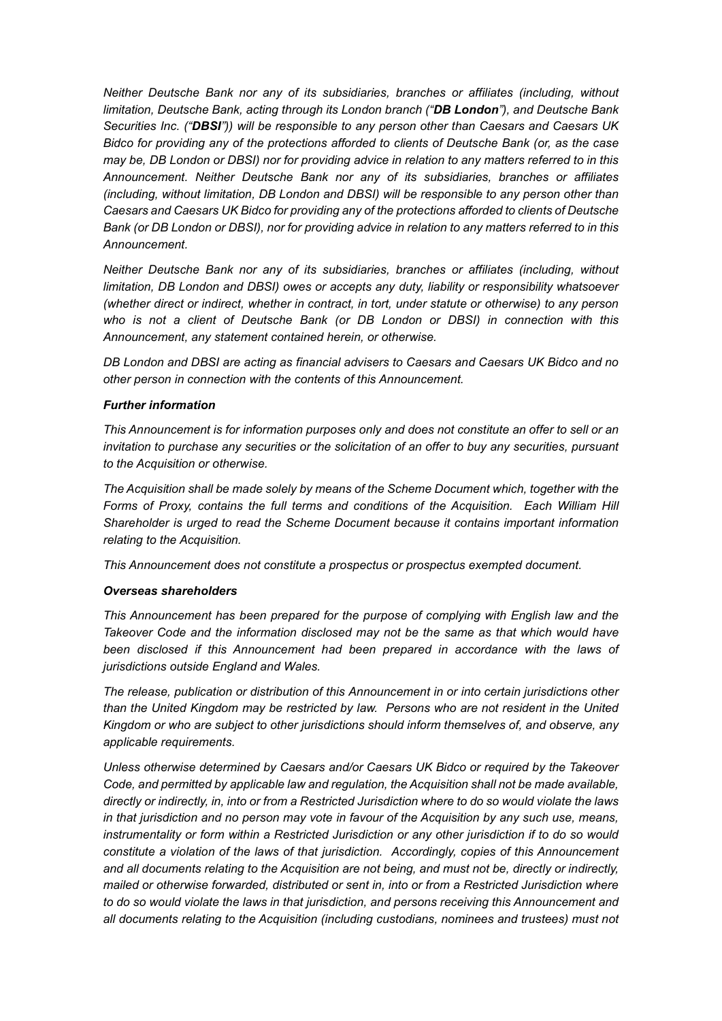Neither Deutsche Bank nor any of its subsidiaries, branches or affiliates (including, without limitation, Deutsche Bank, acting through its London branch ("DB London"), and Deutsche Bank Securities Inc. ("DBSI")) will be responsible to any person other than Caesars and Caesars UK Bidco for providing any of the protections afforded to clients of Deutsche Bank (or, as the case may be, DB London or DBSI) nor for providing advice in relation to any matters referred to in this Announcement. Neither Deutsche Bank nor any of its subsidiaries, branches or affiliates (including, without limitation, DB London and DBSI) will be responsible to any person other than Caesars and Caesars UK Bidco for providing any of the protections afforded to clients of Deutsche Bank (or DB London or DBSI), nor for providing advice in relation to any matters referred to in this Announcement.

Neither Deutsche Bank nor any of its subsidiaries, branches or affiliates (including, without limitation, DB London and DBSI) owes or accepts any duty, liability or responsibility whatsoever (whether direct or indirect, whether in contract, in tort, under statute or otherwise) to any person who is not a client of Deutsche Bank (or DB London or DBSI) in connection with this Announcement, any statement contained herein, or otherwise.

DB London and DBSI are acting as financial advisers to Caesars and Caesars UK Bidco and no other person in connection with the contents of this Announcement.

#### Further information

This Announcement is for information purposes only and does not constitute an offer to sell or an invitation to purchase any securities or the solicitation of an offer to buy any securities, pursuant to the Acquisition or otherwise.

The Acquisition shall be made solely by means of the Scheme Document which, together with the Forms of Proxy, contains the full terms and conditions of the Acquisition. Each William Hill Shareholder is urged to read the Scheme Document because it contains important information relating to the Acquisition.

This Announcement does not constitute a prospectus or prospectus exempted document.

#### Overseas shareholders

This Announcement has been prepared for the purpose of complying with English law and the Takeover Code and the information disclosed may not be the same as that which would have been disclosed if this Announcement had been prepared in accordance with the laws of jurisdictions outside England and Wales.

The release, publication or distribution of this Announcement in or into certain jurisdictions other than the United Kingdom may be restricted by law. Persons who are not resident in the United Kingdom or who are subject to other jurisdictions should inform themselves of, and observe, any applicable requirements.

Unless otherwise determined by Caesars and/or Caesars UK Bidco or required by the Takeover Code, and permitted by applicable law and regulation, the Acquisition shall not be made available, directly or indirectly, in, into or from a Restricted Jurisdiction where to do so would violate the laws in that jurisdiction and no person may vote in favour of the Acquisition by any such use, means, instrumentality or form within a Restricted Jurisdiction or any other jurisdiction if to do so would constitute a violation of the laws of that jurisdiction. Accordingly, copies of this Announcement and all documents relating to the Acquisition are not being, and must not be, directly or indirectly, mailed or otherwise forwarded, distributed or sent in, into or from a Restricted Jurisdiction where to do so would violate the laws in that jurisdiction, and persons receiving this Announcement and all documents relating to the Acquisition (including custodians, nominees and trustees) must not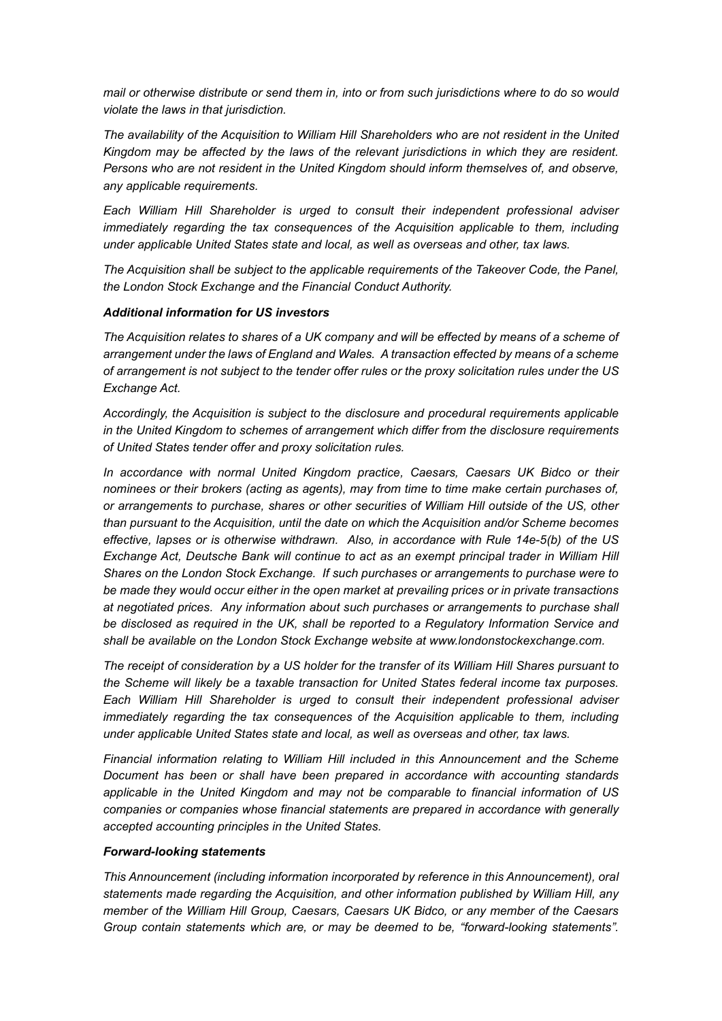mail or otherwise distribute or send them in, into or from such jurisdictions where to do so would violate the laws in that jurisdiction.

The availability of the Acquisition to William Hill Shareholders who are not resident in the United Kingdom may be affected by the laws of the relevant jurisdictions in which they are resident. Persons who are not resident in the United Kingdom should inform themselves of, and observe, any applicable requirements.

Each William Hill Shareholder is urged to consult their independent professional adviser immediately regarding the tax consequences of the Acquisition applicable to them, including under applicable United States state and local, as well as overseas and other, tax laws.

The Acquisition shall be subject to the applicable requirements of the Takeover Code, the Panel, the London Stock Exchange and the Financial Conduct Authority.

#### Additional information for US investors

The Acquisition relates to shares of a UK company and will be effected by means of a scheme of arrangement under the laws of England and Wales. A transaction effected by means of a scheme of arrangement is not subject to the tender offer rules or the proxy solicitation rules under the US Exchange Act.

Accordingly, the Acquisition is subject to the disclosure and procedural requirements applicable in the United Kingdom to schemes of arrangement which differ from the disclosure requirements of United States tender offer and proxy solicitation rules.

In accordance with normal United Kingdom practice, Caesars, Caesars UK Bidco or their nominees or their brokers (acting as agents), may from time to time make certain purchases of, or arrangements to purchase, shares or other securities of William Hill outside of the US, other than pursuant to the Acquisition, until the date on which the Acquisition and/or Scheme becomes effective, lapses or is otherwise withdrawn. Also, in accordance with Rule 14e-5(b) of the US Exchange Act, Deutsche Bank will continue to act as an exempt principal trader in William Hill Shares on the London Stock Exchange. If such purchases or arrangements to purchase were to be made they would occur either in the open market at prevailing prices or in private transactions at negotiated prices. Any information about such purchases or arrangements to purchase shall be disclosed as required in the UK, shall be reported to a Regulatory Information Service and shall be available on the London Stock Exchange website at www.londonstockexchange.com.

The receipt of consideration by a US holder for the transfer of its William Hill Shares pursuant to the Scheme will likely be a taxable transaction for United States federal income tax purposes. Each William Hill Shareholder is urged to consult their independent professional adviser immediately regarding the tax consequences of the Acquisition applicable to them, including under applicable United States state and local, as well as overseas and other, tax laws.

Financial information relating to William Hill included in this Announcement and the Scheme Document has been or shall have been prepared in accordance with accounting standards applicable in the United Kingdom and may not be comparable to financial information of US companies or companies whose financial statements are prepared in accordance with generally accepted accounting principles in the United States.

#### Forward-looking statements

This Announcement (including information incorporated by reference in this Announcement), oral statements made regarding the Acquisition, and other information published by William Hill, any member of the William Hill Group, Caesars, Caesars UK Bidco, or any member of the Caesars Group contain statements which are, or may be deemed to be, "forward-looking statements".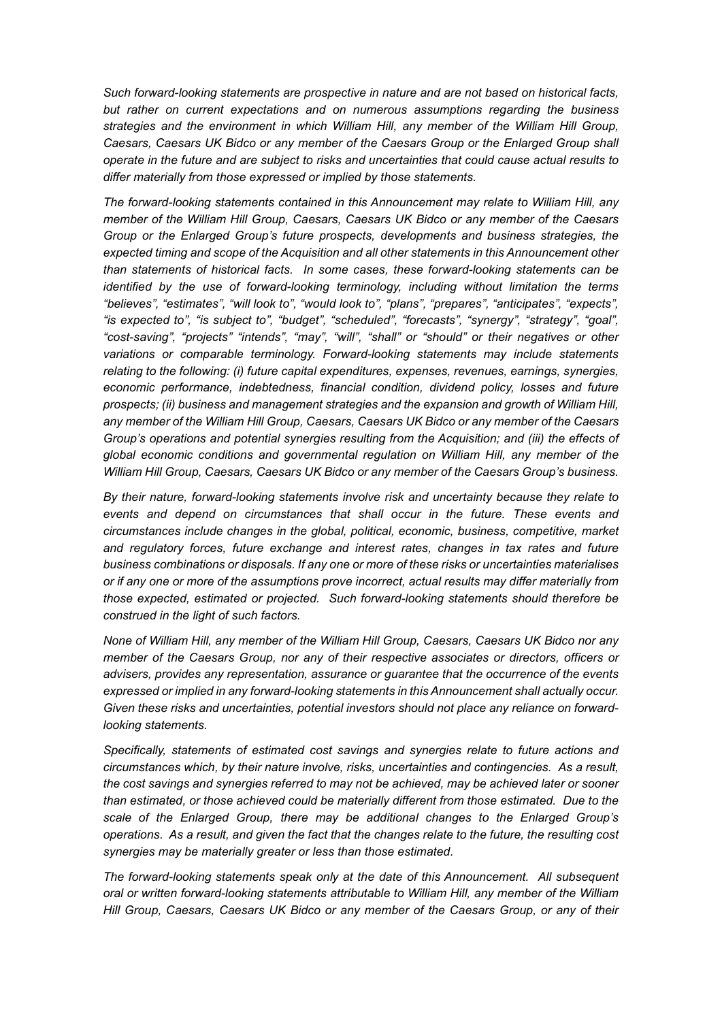Such forward-looking statements are prospective in nature and are not based on historical facts, but rather on current expectations and on numerous assumptions regarding the business strategies and the environment in which William Hill, any member of the William Hill Group, Caesars, Caesars UK Bidco or any member of the Caesars Group or the Enlarged Group shall operate in the future and are subject to risks and uncertainties that could cause actual results to differ materially from those expressed or implied by those statements.

The forward-looking statements contained in this Announcement may relate to William Hill, any member of the William Hill Group, Caesars, Caesars UK Bidco or any member of the Caesars Group or the Enlarged Group's future prospects, developments and business strategies, the expected timing and scope of the Acquisition and all other statements in this Announcement other than statements of historical facts. In some cases, these forward-looking statements can be identified by the use of forward-looking terminology, including without limitation the terms "believes", "estimates", "will look to", "would look to", "plans", "prepares", "anticipates", "expects", "is expected to", "is subject to", "budget", "scheduled", "forecasts", "synergy", "strategy", "goal", "cost-saving", "projects" "intends", "may", "will", "shall" or "should" or their negatives or other variations or comparable terminology. Forward-looking statements may include statements relating to the following: (i) future capital expenditures, expenses, revenues, earnings, synergies, economic performance, indebtedness, financial condition, dividend policy, losses and future prospects; (ii) business and management strategies and the expansion and growth of William Hill, any member of the William Hill Group, Caesars, Caesars UK Bidco or any member of the Caesars Group's operations and potential synergies resulting from the Acquisition; and (iii) the effects of global economic conditions and governmental regulation on William Hill, any member of the William Hill Group, Caesars, Caesars UK Bidco or any member of the Caesars Group's business.

By their nature, forward-looking statements involve risk and uncertainty because they relate to events and depend on circumstances that shall occur in the future. These events and circumstances include changes in the global, political, economic, business, competitive, market and regulatory forces, future exchange and interest rates, changes in tax rates and future business combinations or disposals. If any one or more of these risks or uncertainties materialises or if any one or more of the assumptions prove incorrect, actual results may differ materially from those expected, estimated or projected. Such forward-looking statements should therefore be construed in the light of such factors.

None of William Hill, any member of the William Hill Group, Caesars, Caesars UK Bidco nor any member of the Caesars Group, nor any of their respective associates or directors, officers or advisers, provides any representation, assurance or guarantee that the occurrence of the events expressed or implied in any forward-looking statements in this Announcement shall actually occur. Given these risks and uncertainties, potential investors should not place any reliance on forwardlooking statements.

Specifically, statements of estimated cost savings and synergies relate to future actions and circumstances which, by their nature involve, risks, uncertainties and contingencies. As a result, the cost savings and synergies referred to may not be achieved, may be achieved later or sooner than estimated, or those achieved could be materially different from those estimated. Due to the scale of the Enlarged Group, there may be additional changes to the Enlarged Group's operations. As a result, and given the fact that the changes relate to the future, the resulting cost synergies may be materially greater or less than those estimated.

The forward-looking statements speak only at the date of this Announcement. All subsequent oral or written forward-looking statements attributable to William Hill, any member of the William Hill Group, Caesars, Caesars UK Bidco or any member of the Caesars Group, or any of their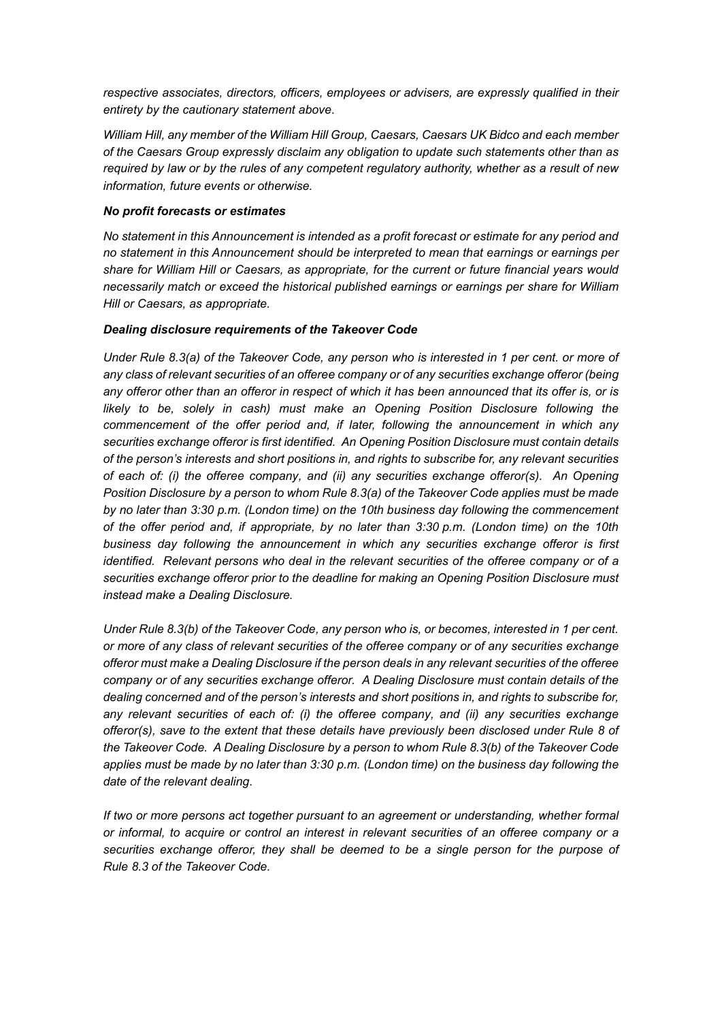respective associates, directors, officers, employees or advisers, are expressly qualified in their entirety by the cautionary statement above.

William Hill, any member of the William Hill Group, Caesars, Caesars UK Bidco and each member of the Caesars Group expressly disclaim any obligation to update such statements other than as required by law or by the rules of any competent regulatory authority, whether as a result of new information, future events or otherwise.

#### No profit forecasts or estimates

No statement in this Announcement is intended as a profit forecast or estimate for any period and no statement in this Announcement should be interpreted to mean that earnings or earnings per share for William Hill or Caesars, as appropriate, for the current or future financial years would necessarily match or exceed the historical published earnings or earnings per share for William Hill or Caesars, as appropriate.

#### Dealing disclosure requirements of the Takeover Code

Under Rule 8.3(a) of the Takeover Code, any person who is interested in 1 per cent. or more of any class of relevant securities of an offeree company or of any securities exchange offeror (being any offeror other than an offeror in respect of which it has been announced that its offer is, or is likely to be, solely in cash) must make an Opening Position Disclosure following the commencement of the offer period and, if later, following the announcement in which any securities exchange offeror is first identified. An Opening Position Disclosure must contain details of the person's interests and short positions in, and rights to subscribe for, any relevant securities of each of: (i) the offeree company, and (ii) any securities exchange offeror(s). An Opening Position Disclosure by a person to whom Rule 8.3(a) of the Takeover Code applies must be made by no later than 3:30 p.m. (London time) on the 10th business day following the commencement of the offer period and, if appropriate, by no later than 3:30 p.m. (London time) on the 10th business day following the announcement in which any securities exchange offeror is first identified. Relevant persons who deal in the relevant securities of the offeree company or of a securities exchange offeror prior to the deadline for making an Opening Position Disclosure must instead make a Dealing Disclosure.

Under Rule 8.3(b) of the Takeover Code, any person who is, or becomes, interested in 1 per cent. or more of any class of relevant securities of the offeree company or of any securities exchange offeror must make a Dealing Disclosure if the person deals in any relevant securities of the offeree company or of any securities exchange offeror. A Dealing Disclosure must contain details of the dealing concerned and of the person's interests and short positions in, and rights to subscribe for, any relevant securities of each of: (i) the offeree company, and (ii) any securities exchange offeror(s), save to the extent that these details have previously been disclosed under Rule 8 of the Takeover Code. A Dealing Disclosure by a person to whom Rule 8.3(b) of the Takeover Code applies must be made by no later than 3:30 p.m. (London time) on the business day following the date of the relevant dealing.

If two or more persons act together pursuant to an agreement or understanding, whether formal or informal, to acquire or control an interest in relevant securities of an offeree company or a securities exchange offeror, they shall be deemed to be a single person for the purpose of Rule 8.3 of the Takeover Code.